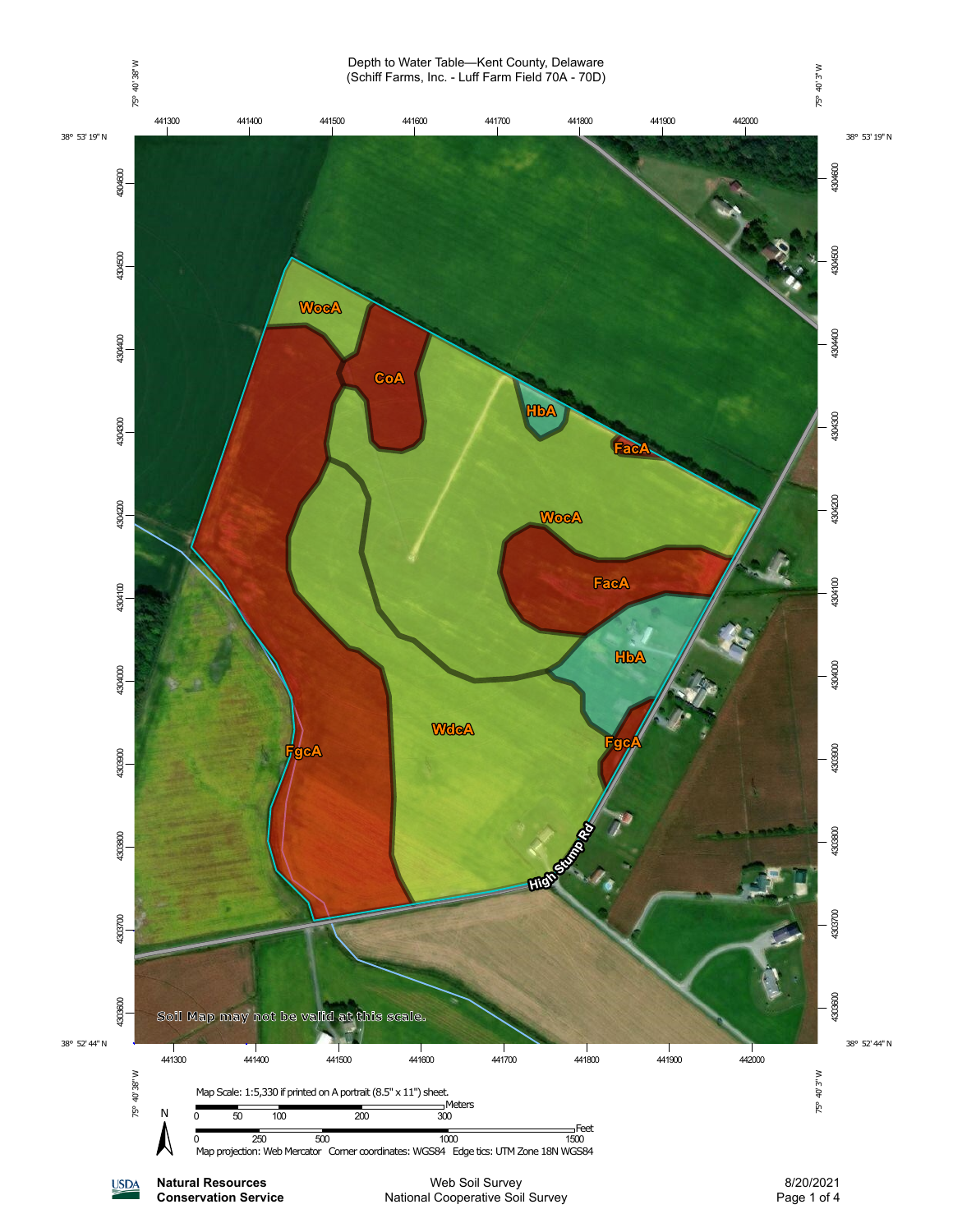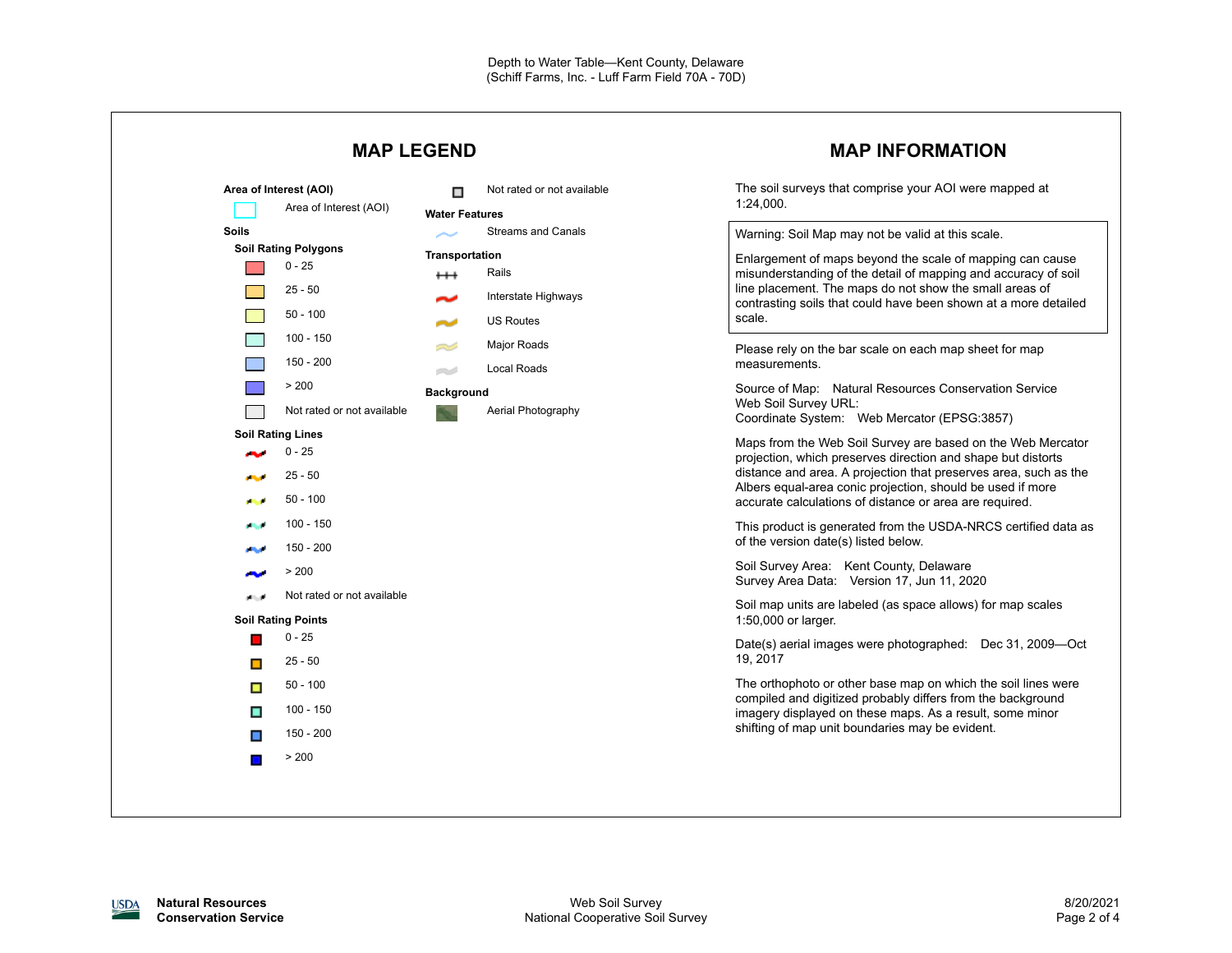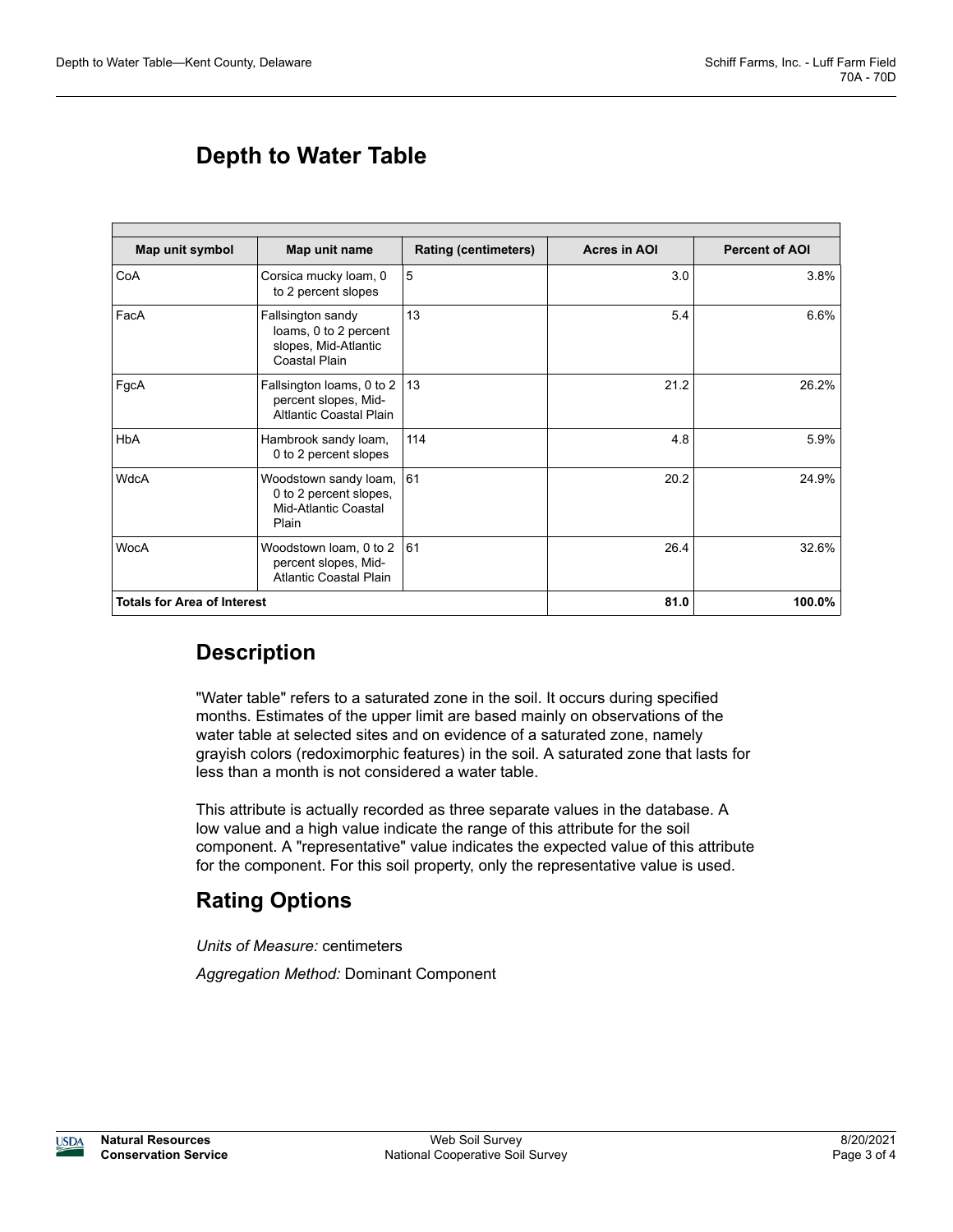# **Depth to Water Table**

| Map unit symbol                    | Map unit name                                                                       | <b>Rating (centimeters)</b> | <b>Acres in AOI</b> | <b>Percent of AOI</b> |  |  |
|------------------------------------|-------------------------------------------------------------------------------------|-----------------------------|---------------------|-----------------------|--|--|
| CoA                                | Corsica mucky loam, 0<br>to 2 percent slopes                                        | 5                           | 3.0                 | 3.8%                  |  |  |
| FacA                               | Fallsington sandy<br>loams, 0 to 2 percent<br>slopes, Mid-Atlantic<br>Coastal Plain | 13                          | 5.4                 | 6.6%                  |  |  |
| FgcA                               | Fallsington loams, 0 to 2   13<br>percent slopes, Mid-<br>Altlantic Coastal Plain   |                             | 21.2                | 26.2%                 |  |  |
| <b>HbA</b>                         | Hambrook sandy loam,<br>0 to 2 percent slopes                                       | 114                         | 4.8                 | 5.9%                  |  |  |
| <b>WdcA</b>                        | Woodstown sandy loam, 61<br>0 to 2 percent slopes,<br>Mid-Atlantic Coastal<br>Plain |                             | 20.2                | 24.9%                 |  |  |
| <b>WocA</b>                        | Woodstown loam, 0 to 2<br>percent slopes, Mid-<br><b>Atlantic Coastal Plain</b>     | 61                          | 26.4                | 32.6%                 |  |  |
| <b>Totals for Area of Interest</b> |                                                                                     |                             | 81.0                | 100.0%                |  |  |

# **Description**

"Water table" refers to a saturated zone in the soil. It occurs during specified months. Estimates of the upper limit are based mainly on observations of the water table at selected sites and on evidence of a saturated zone, namely grayish colors (redoximorphic features) in the soil. A saturated zone that lasts for less than a month is not considered a water table.

This attribute is actually recorded as three separate values in the database. A low value and a high value indicate the range of this attribute for the soil component. A "representative" value indicates the expected value of this attribute for the component. For this soil property, only the representative value is used.

# **Rating Options**

*Units of Measure:* centimeters

*Aggregation Method:* Dominant Component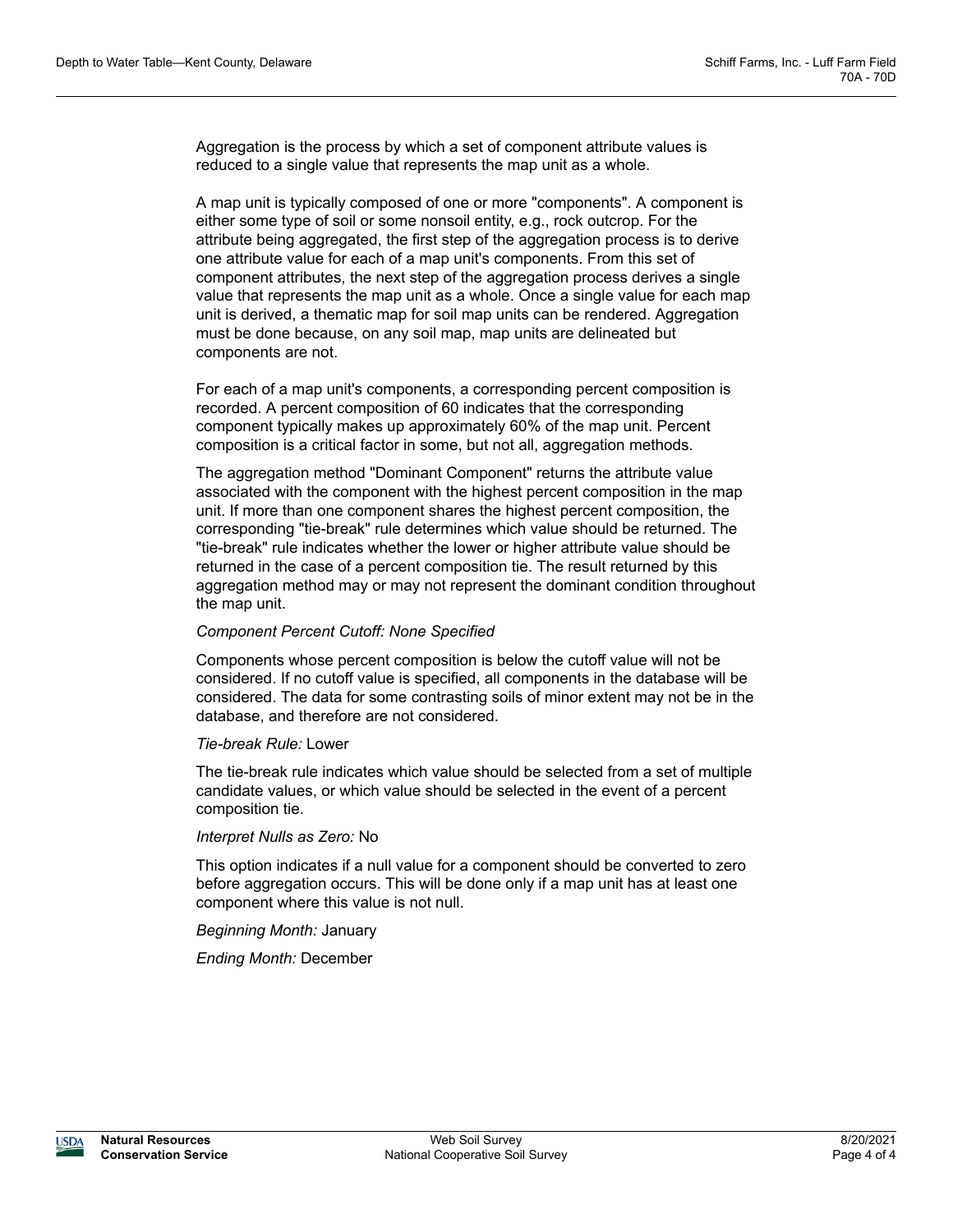Aggregation is the process by which a set of component attribute values is reduced to a single value that represents the map unit as a whole.

A map unit is typically composed of one or more "components". A component is either some type of soil or some nonsoil entity, e.g., rock outcrop. For the attribute being aggregated, the first step of the aggregation process is to derive one attribute value for each of a map unit's components. From this set of component attributes, the next step of the aggregation process derives a single value that represents the map unit as a whole. Once a single value for each map unit is derived, a thematic map for soil map units can be rendered. Aggregation must be done because, on any soil map, map units are delineated but components are not.

For each of a map unit's components, a corresponding percent composition is recorded. A percent composition of 60 indicates that the corresponding component typically makes up approximately 60% of the map unit. Percent composition is a critical factor in some, but not all, aggregation methods.

The aggregation method "Dominant Component" returns the attribute value associated with the component with the highest percent composition in the map unit. If more than one component shares the highest percent composition, the corresponding "tie-break" rule determines which value should be returned. The "tie-break" rule indicates whether the lower or higher attribute value should be returned in the case of a percent composition tie. The result returned by this aggregation method may or may not represent the dominant condition throughout the map unit.

### *Component Percent Cutoff: None Specified*

Components whose percent composition is below the cutoff value will not be considered. If no cutoff value is specified, all components in the database will be considered. The data for some contrasting soils of minor extent may not be in the database, and therefore are not considered.

#### *Tie-break Rule:* Lower

The tie-break rule indicates which value should be selected from a set of multiple candidate values, or which value should be selected in the event of a percent composition tie.

#### *Interpret Nulls as Zero:* No

This option indicates if a null value for a component should be converted to zero before aggregation occurs. This will be done only if a map unit has at least one component where this value is not null.

*Beginning Month:* January

*Ending Month:* December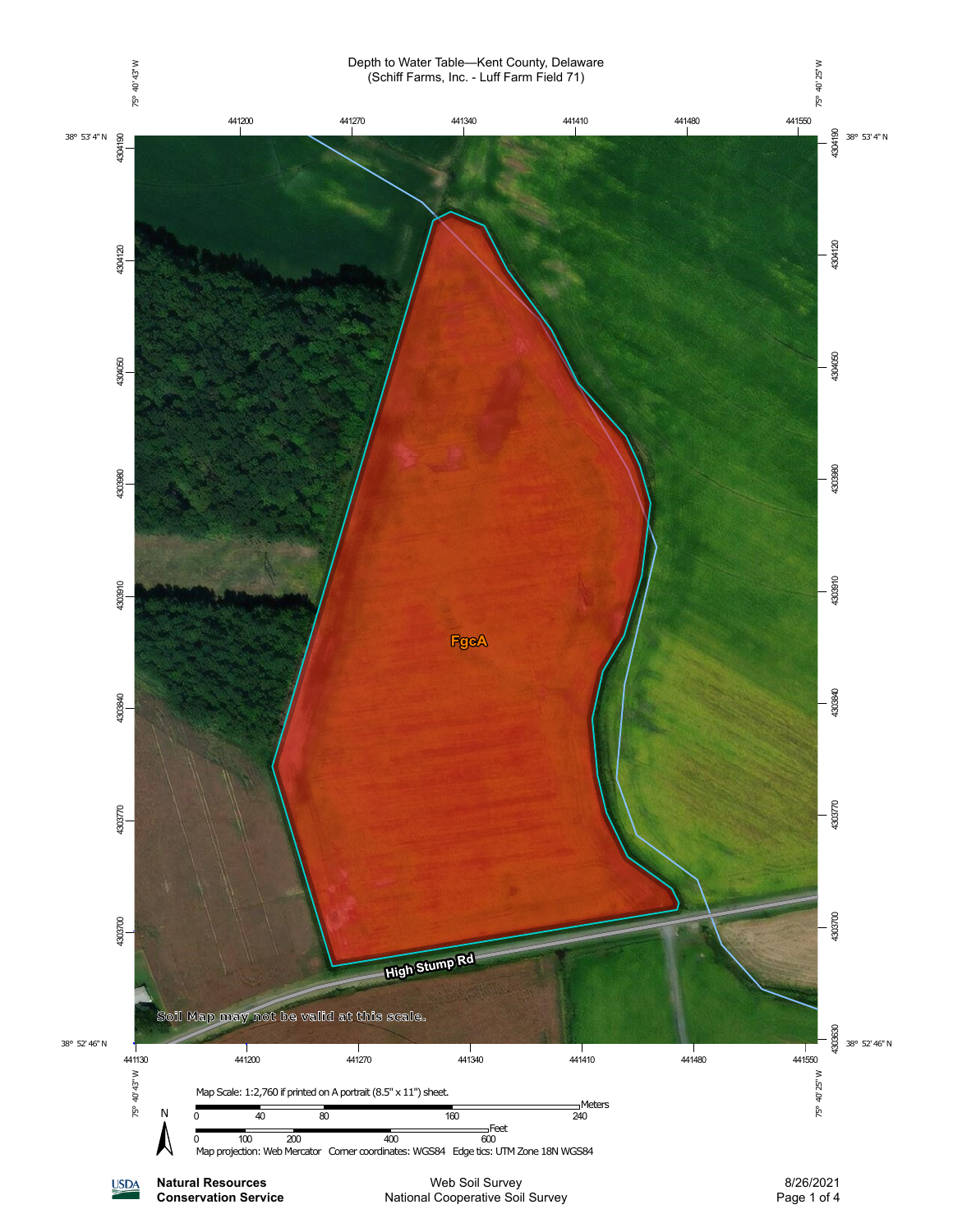

**Conservation Service**

Web Soil Survey National Cooperative Soil Survey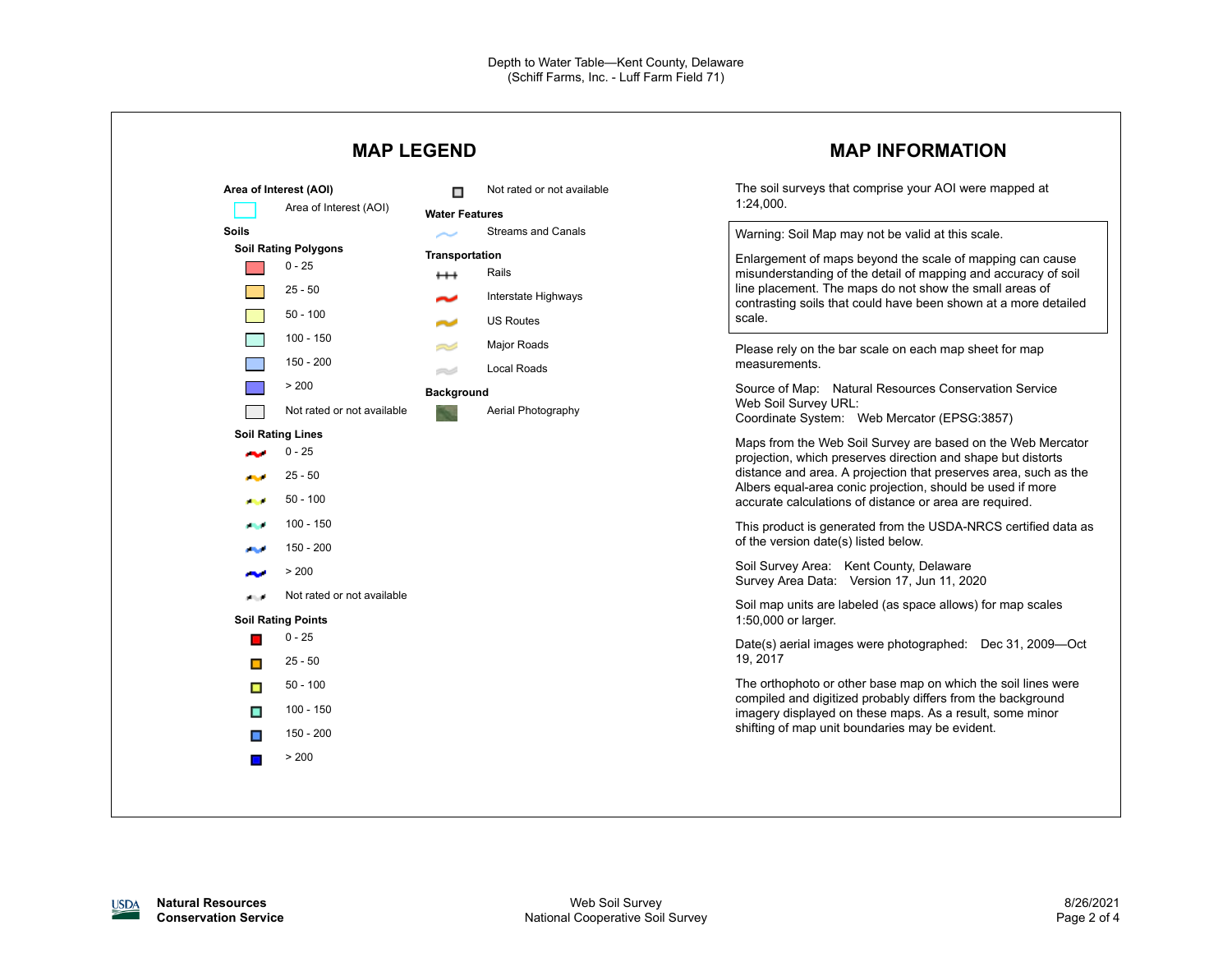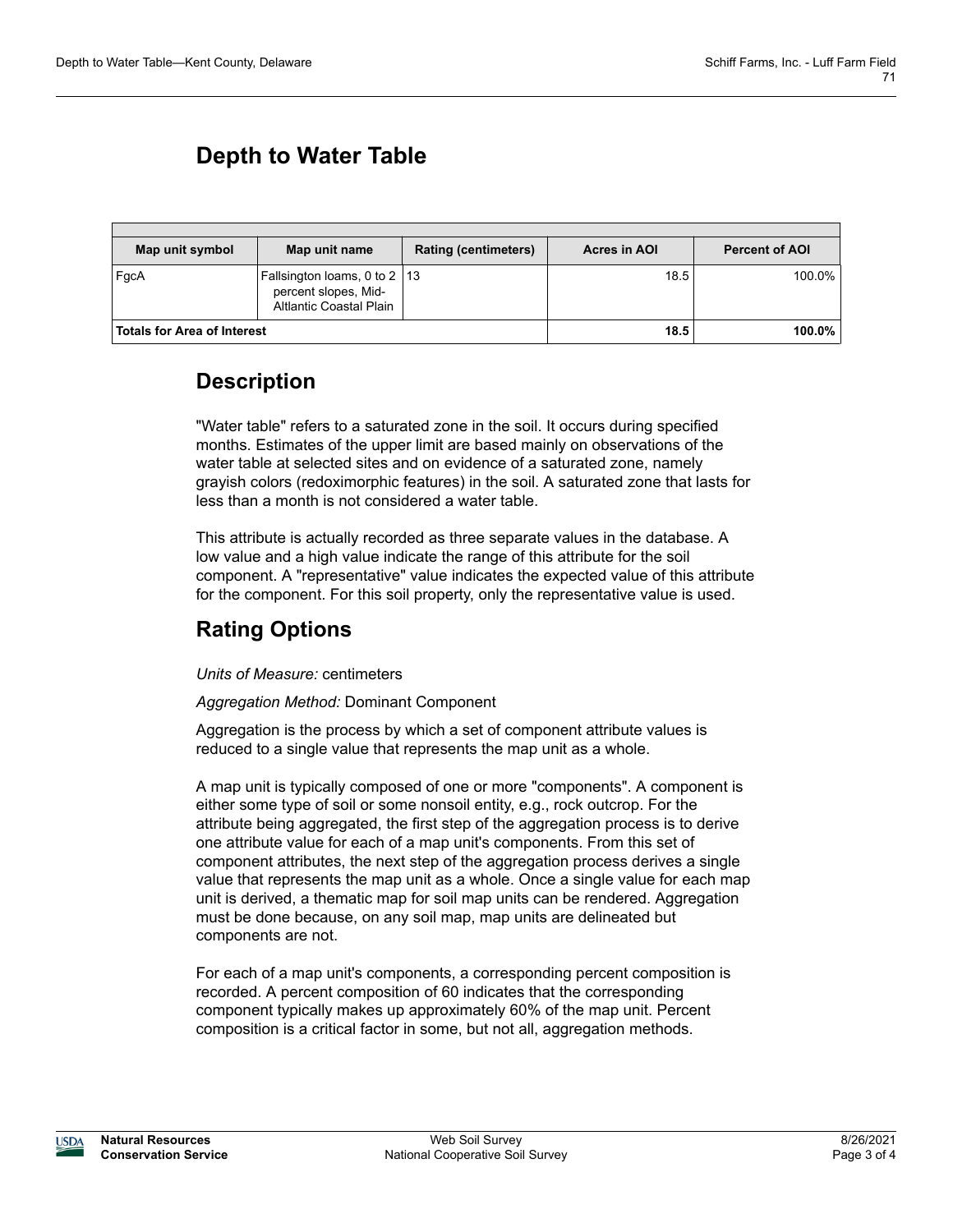# **Depth to Water Table**

| Map unit symbol                    | Map unit name                                                                          | <b>Rating (centimeters)</b> | Acres in AOI | <b>Percent of AOI</b> |
|------------------------------------|----------------------------------------------------------------------------------------|-----------------------------|--------------|-----------------------|
| FqcA                               | Fallsington loams, 0 to $2 \mid 13$<br>percent slopes, Mid-<br>Altlantic Coastal Plain |                             | 18.5         | 100.0%                |
| <b>Totals for Area of Interest</b> |                                                                                        |                             | 18.5         | $100.0\%$             |

## **Description**

"Water table" refers to a saturated zone in the soil. It occurs during specified months. Estimates of the upper limit are based mainly on observations of the water table at selected sites and on evidence of a saturated zone, namely grayish colors (redoximorphic features) in the soil. A saturated zone that lasts for less than a month is not considered a water table.

This attribute is actually recorded as three separate values in the database. A low value and a high value indicate the range of this attribute for the soil component. A "representative" value indicates the expected value of this attribute for the component. For this soil property, only the representative value is used.

# **Rating Options**

## *Units of Measure:* centimeters

## *Aggregation Method:* Dominant Component

Aggregation is the process by which a set of component attribute values is reduced to a single value that represents the map unit as a whole.

A map unit is typically composed of one or more "components". A component is either some type of soil or some nonsoil entity, e.g., rock outcrop. For the attribute being aggregated, the first step of the aggregation process is to derive one attribute value for each of a map unit's components. From this set of component attributes, the next step of the aggregation process derives a single value that represents the map unit as a whole. Once a single value for each map unit is derived, a thematic map for soil map units can be rendered. Aggregation must be done because, on any soil map, map units are delineated but components are not.

For each of a map unit's components, a corresponding percent composition is recorded. A percent composition of 60 indicates that the corresponding component typically makes up approximately 60% of the map unit. Percent composition is a critical factor in some, but not all, aggregation methods.